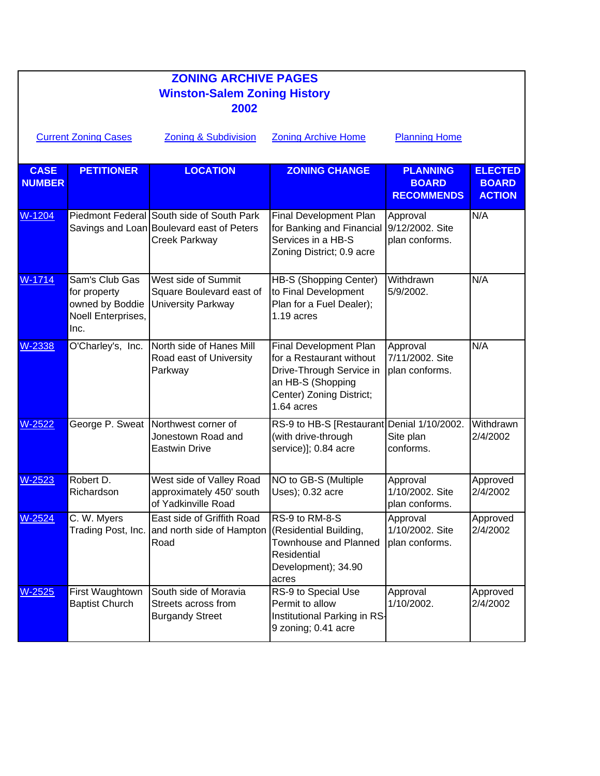| <b>ZONING ARCHIVE PAGES</b><br><b>Winston-Salem Zoning History</b><br>2002                                |                                                                                 |                                                                                                                |                                                                                                                                               |                                                      |                                                 |  |
|-----------------------------------------------------------------------------------------------------------|---------------------------------------------------------------------------------|----------------------------------------------------------------------------------------------------------------|-----------------------------------------------------------------------------------------------------------------------------------------------|------------------------------------------------------|-------------------------------------------------|--|
| <b>Current Zoning Cases</b><br>Zoning & Subdivision<br><b>Zoning Archive Home</b><br><b>Planning Home</b> |                                                                                 |                                                                                                                |                                                                                                                                               |                                                      |                                                 |  |
| <b>CASE</b><br><b>NUMBER</b>                                                                              | <b>PETITIONER</b>                                                               | <b>LOCATION</b>                                                                                                | <b>ZONING CHANGE</b>                                                                                                                          | <b>PLANNING</b><br><b>BOARD</b><br><b>RECOMMENDS</b> | <b>ELECTED</b><br><b>BOARD</b><br><b>ACTION</b> |  |
| W-1204                                                                                                    |                                                                                 | Piedmont Federal South side of South Park<br>Savings and Loan Boulevard east of Peters<br><b>Creek Parkway</b> | Final Development Plan<br>for Banking and Financial<br>Services in a HB-S<br>Zoning District; 0.9 acre                                        | Approval<br>9/12/2002. Site<br>plan conforms.        | N/A                                             |  |
| W-1714                                                                                                    | Sam's Club Gas<br>for property<br>owned by Boddie<br>Noell Enterprises,<br>Inc. | West side of Summit<br>Square Boulevard east of<br><b>University Parkway</b>                                   | HB-S (Shopping Center)<br>to Final Development<br>Plan for a Fuel Dealer);<br>1.19 acres                                                      | Withdrawn<br>5/9/2002.                               | N/A                                             |  |
| W-2338                                                                                                    | O'Charley's, Inc.                                                               | North side of Hanes Mill<br>Road east of University<br>Parkway                                                 | Final Development Plan<br>for a Restaurant without<br>Drive-Through Service in<br>an HB-S (Shopping<br>Center) Zoning District;<br>1.64 acres | Approval<br>7/11/2002. Site<br>plan conforms.        | N/A                                             |  |
| W-2522                                                                                                    |                                                                                 | George P. Sweat Northwest corner of<br>Jonestown Road and<br><b>Eastwin Drive</b>                              | RS-9 to HB-S [Restaurant Denial 1/10/2002.<br>(with drive-through<br>service)]; 0.84 acre                                                     | Site plan<br>conforms.                               | Withdrawn<br>2/4/2002                           |  |
| W-2523                                                                                                    | Robert D.<br>Richardson                                                         | West side of Valley Road<br>approximately 450' south<br>of Yadkinville Road                                    | NO to GB-S (Multiple<br>Uses); 0.32 acre                                                                                                      | Approval<br>1/10/2002. Site<br>plan conforms.        | Approved<br>2/4/2002                            |  |
| W-2524                                                                                                    | C. W. Myers<br>Trading Post, Inc.                                               | East side of Griffith Road<br>and north side of Hampton<br>Road                                                | RS-9 to RM-8-S<br>(Residential Building,<br><b>Townhouse and Planned</b><br>Residential<br>Development); 34.90<br>acres                       | Approval<br>1/10/2002. Site<br>plan conforms.        | Approved<br>2/4/2002                            |  |
| W-2525                                                                                                    | First Waughtown<br><b>Baptist Church</b>                                        | South side of Moravia<br>Streets across from<br><b>Burgandy Street</b>                                         | RS-9 to Special Use<br>Permit to allow<br>Institutional Parking in RS-<br>9 zoning; 0.41 acre                                                 | Approval<br>1/10/2002.                               | Approved<br>2/4/2002                            |  |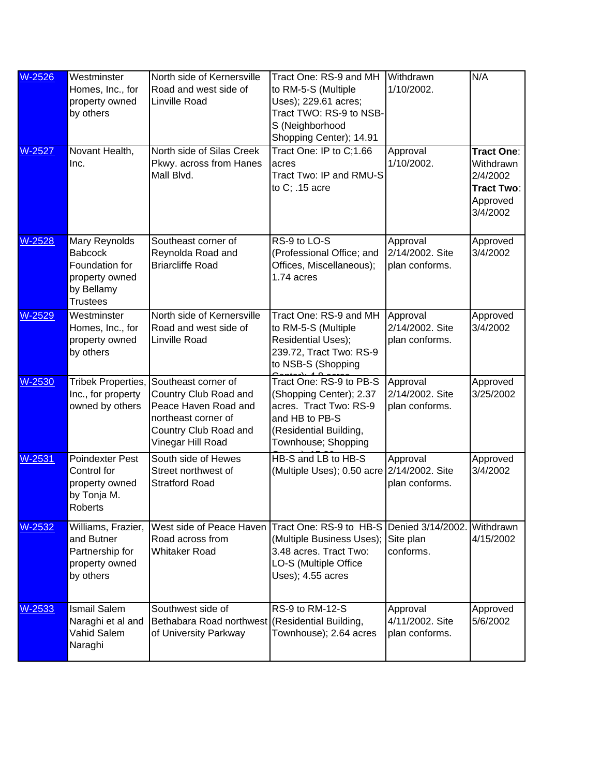| W-2526<br>W-2527 | Westminster<br>Homes, Inc., for<br>property owned<br>by others<br>Novant Health,<br>Inc.             | North side of Kernersville<br>Road and west side of<br><b>Linville Road</b><br>North side of Silas Creek<br>Pkwy. across from Hanes<br>Mall Blvd. | Tract One: RS-9 and MH<br>to RM-5-S (Multiple<br>Uses); 229.61 acres;<br>Tract TWO: RS-9 to NSB-<br>S (Neighborhood<br>Shopping Center); 14.91<br>Tract One: IP to C;1.66<br>acres<br>Tract Two: IP and RMU-S<br>to C; .15 acre | Withdrawn<br>1/10/2002.<br>Approval<br>1/10/2002. | N/A<br><b>Tract One:</b><br>Withdrawn<br>2/4/2002<br>Tract Two:<br>Approved<br>3/4/2002 |
|------------------|------------------------------------------------------------------------------------------------------|---------------------------------------------------------------------------------------------------------------------------------------------------|---------------------------------------------------------------------------------------------------------------------------------------------------------------------------------------------------------------------------------|---------------------------------------------------|-----------------------------------------------------------------------------------------|
| W-2528           | Mary Reynolds<br><b>Babcock</b><br>Foundation for<br>property owned<br>by Bellamy<br><b>Trustees</b> | Southeast corner of<br>Reynolda Road and<br><b>Briarcliffe Road</b>                                                                               | RS-9 to LO-S<br>(Professional Office; and<br>Offices, Miscellaneous);<br>1.74 acres                                                                                                                                             | Approval<br>2/14/2002. Site<br>plan conforms.     | Approved<br>3/4/2002                                                                    |
| W-2529           | Westminster<br>Homes, Inc., for<br>property owned<br>by others                                       | North side of Kernersville<br>Road and west side of<br><b>Linville Road</b>                                                                       | Tract One: RS-9 and MH<br>to RM-5-S (Multiple<br>Residential Uses);<br>239.72, Tract Two: RS-9<br>to NSB-S (Shopping                                                                                                            | Approval<br>2/14/2002. Site<br>plan conforms.     | Approved<br>3/4/2002                                                                    |
| W-2530           | Tribek Properties,<br>Inc., for property<br>owned by others                                          | Southeast corner of<br>Country Club Road and<br>Peace Haven Road and<br>northeast corner of<br>Country Club Road and<br>Vinegar Hill Road         | Tract One: RS-9 to PB-S<br>(Shopping Center); 2.37<br>acres. Tract Two: RS-9<br>and HB to PB-S<br>(Residential Building,<br>Townhouse; Shopping                                                                                 | Approval<br>2/14/2002. Site<br>plan conforms.     | Approved<br>3/25/2002                                                                   |
| W-2531           | <b>Poindexter Pest</b><br>Control for<br>property owned<br>by Tonja M.<br>Roberts                    | South side of Hewes<br>Street northwest of<br><b>Stratford Road</b>                                                                               | HB-S and LB to HB-S<br>(Multiple Uses); 0.50 acre                                                                                                                                                                               | Approval<br>2/14/2002. Site<br>plan conforms.     | Approved<br>3/4/2002                                                                    |
| W-2532           | Williams, Frazier,<br>and Butner<br>Partnership for<br>property owned<br>by others                   | West side of Peace Haven<br>Road across from<br><b>Whitaker Road</b>                                                                              | Tract One: RS-9 to HB-S Denied 3/14/2002.<br>(Multiple Business Uses);<br>3.48 acres. Tract Two:<br>LO-S (Multiple Office<br>Uses); 4.55 acres                                                                                  | Site plan<br>conforms.                            | Withdrawn<br>4/15/2002                                                                  |
| W-2533           | <b>Ismail Salem</b><br>Naraghi et al and<br>Vahid Salem<br>Naraghi                                   | Southwest side of<br>Bethabara Road northwest (Residential Building,<br>of University Parkway                                                     | <b>RS-9 to RM-12-S</b><br>Townhouse); 2.64 acres                                                                                                                                                                                | Approval<br>4/11/2002. Site<br>plan conforms.     | Approved<br>5/6/2002                                                                    |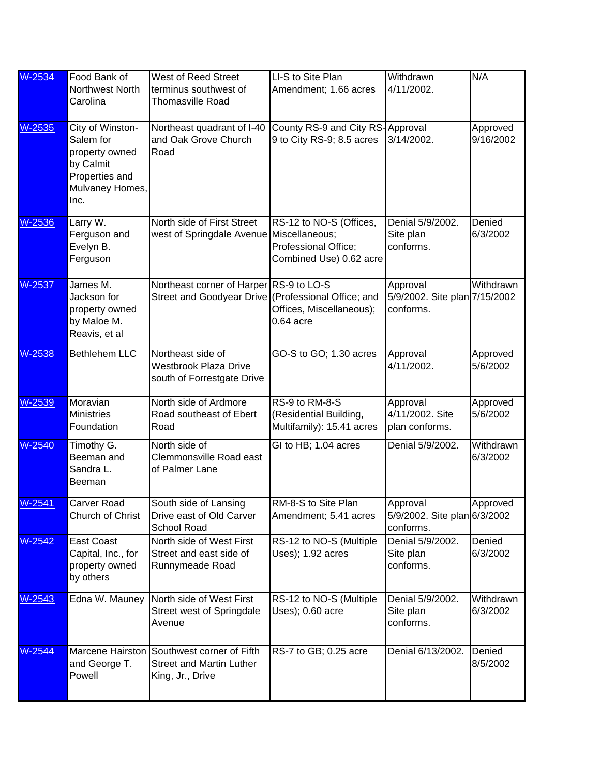| W-2534   | Food Bank of<br>Northwest North<br>Carolina                                                               | West of Reed Street<br>terminus southwest of<br><b>Thomasville Road</b>                        | LI-S to Site Plan<br>Amendment; 1.66 acres                                 | Withdrawn<br>4/11/2002.                                | N/A                   |
|----------|-----------------------------------------------------------------------------------------------------------|------------------------------------------------------------------------------------------------|----------------------------------------------------------------------------|--------------------------------------------------------|-----------------------|
| W-2535   | City of Winston-<br>Salem for<br>property owned<br>by Calmit<br>Properties and<br>Mulvaney Homes,<br>Inc. | Northeast quadrant of I-40<br>and Oak Grove Church<br>Road                                     | County RS-9 and City RS-Approval<br>9 to City RS-9; 8.5 acres              | 3/14/2002.                                             | Approved<br>9/16/2002 |
| W-2536   | Larry W.<br>Ferguson and<br>Evelyn B.<br>Ferguson                                                         | North side of First Street<br>west of Springdale Avenue Miscellaneous;                         | RS-12 to NO-S (Offices,<br>Professional Office;<br>Combined Use) 0.62 acre | Denial 5/9/2002.<br>Site plan<br>conforms.             | Denied<br>6/3/2002    |
| W-2537   | James M.<br>Jackson for<br>property owned<br>by Maloe M.<br>Reavis, et al                                 | Northeast corner of Harper RS-9 to LO-S<br>Street and Goodyear Drive (Professional Office; and | Offices, Miscellaneous);<br>$0.64$ acre                                    | Approval<br>5/9/2002. Site plan 7/15/2002<br>conforms. | Withdrawn             |
| W-2538   | <b>Bethlehem LLC</b>                                                                                      | Northeast side of<br><b>Westbrook Plaza Drive</b><br>south of Forrestgate Drive                | GO-S to GO; 1.30 acres                                                     | Approval<br>4/11/2002.                                 | Approved<br>5/6/2002  |
| W-2539   | Moravian<br><b>Ministries</b><br>Foundation                                                               | North side of Ardmore<br>Road southeast of Ebert<br>Road                                       | RS-9 to RM-8-S<br>(Residential Building,<br>Multifamily): 15.41 acres      | Approval<br>4/11/2002. Site<br>plan conforms.          | Approved<br>5/6/2002  |
| W-2540   | Timothy G.<br>Beeman and<br>Sandra L.<br>Beeman                                                           | North side of<br>Clemmonsville Road east<br>of Palmer Lane                                     | GI to HB; 1.04 acres                                                       | Denial 5/9/2002.                                       | Withdrawn<br>6/3/2002 |
| W-2541   | Carver Road<br>Church of Christ                                                                           | South side of Lansing<br>Drive east of Old Carver<br><b>School Road</b>                        | RM-8-S to Site Plan<br>Amendment; 5.41 acres                               | Approval<br>5/9/2002. Site plan 6/3/2002<br>conforms.  | Approved              |
| $W-2542$ | East Coast<br>Capital, Inc., for<br>property owned<br>by others                                           | North side of West First<br>Street and east side of<br>Runnymeade Road                         | RS-12 to NO-S (Multiple<br>Uses); 1.92 acres                               | Denial 5/9/2002.<br>Site plan<br>conforms.             | Denied<br>6/3/2002    |
| W-2543   | Edna W. Mauney                                                                                            | North side of West First<br>Street west of Springdale<br>Avenue                                | RS-12 to NO-S (Multiple<br>Uses); 0.60 acre                                | Denial 5/9/2002.<br>Site plan<br>conforms.             | Withdrawn<br>6/3/2002 |
| W-2544   | Marcene Hairston<br>and George T.<br>Powell                                                               | Southwest corner of Fifth<br><b>Street and Martin Luther</b><br>King, Jr., Drive               | RS-7 to GB; 0.25 acre                                                      | Denial 6/13/2002.                                      | Denied<br>8/5/2002    |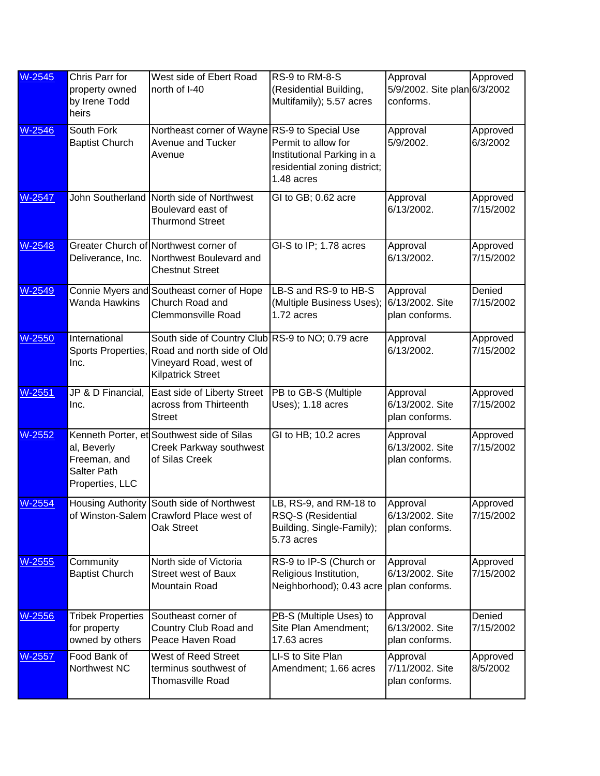| W-2545 | Chris Parr for<br>property owned<br>by Irene Todd<br>heirs    | West side of Ebert Road<br>north of I-40                                                                                                                | RS-9 to RM-8-S<br>(Residential Building,<br>Multifamily); 5.57 acres                            | Approval<br>5/9/2002. Site plan 6/3/2002<br>conforms. | Approved              |
|--------|---------------------------------------------------------------|---------------------------------------------------------------------------------------------------------------------------------------------------------|-------------------------------------------------------------------------------------------------|-------------------------------------------------------|-----------------------|
| W-2546 | South Fork<br><b>Baptist Church</b>                           | Northeast corner of Wayne RS-9 to Special Use<br>Avenue and Tucker<br>Avenue                                                                            | Permit to allow for<br>Institutional Parking in a<br>residential zoning district;<br>1.48 acres | Approval<br>5/9/2002.                                 | Approved<br>6/3/2002  |
| W-2547 |                                                               | John Southerland North side of Northwest<br>Boulevard east of<br><b>Thurmond Street</b>                                                                 | GI to GB; 0.62 acre                                                                             | Approval<br>6/13/2002.                                | Approved<br>7/15/2002 |
| W-2548 | Deliverance, Inc.                                             | Greater Church of Northwest corner of<br>Northwest Boulevard and<br><b>Chestnut Street</b>                                                              | GI-S to IP; 1.78 acres                                                                          | Approval<br>6/13/2002.                                | Approved<br>7/15/2002 |
| W-2549 | Wanda Hawkins                                                 | Connie Myers and Southeast corner of Hope<br>Church Road and<br><b>Clemmonsville Road</b>                                                               | LB-S and RS-9 to HB-S<br>(Multiple Business Uses);<br>1.72 acres                                | Approval<br>6/13/2002. Site<br>plan conforms.         | Denied<br>7/15/2002   |
| W-2550 | International<br>Inc.                                         | South side of Country Club RS-9 to NO; 0.79 acre<br>Sports Properties, Road and north side of Old<br>Vineyard Road, west of<br><b>Kilpatrick Street</b> |                                                                                                 | Approval<br>6/13/2002.                                | Approved<br>7/15/2002 |
| W-2551 | JP & D Financial,<br>Inc.                                     | East side of Liberty Street<br>across from Thirteenth<br><b>Street</b>                                                                                  | PB to GB-S (Multiple<br>Uses); 1.18 acres                                                       | Approval<br>6/13/2002. Site<br>plan conforms.         | Approved<br>7/15/2002 |
| W-2552 | al, Beverly<br>Freeman, and<br>Salter Path<br>Properties, LLC | Kenneth Porter, et Southwest side of Silas<br>Creek Parkway southwest<br>of Silas Creek                                                                 | GI to HB; 10.2 acres                                                                            | Approval<br>6/13/2002. Site<br>plan conforms.         | Approved<br>7/15/2002 |
| W-2554 |                                                               | Housing Authority South side of Northwest<br>of Winston-Salem Crawford Place west of<br>Oak Street                                                      | LB, RS-9, and RM-18 to<br>RSQ-S (Residential<br>Building, Single-Family);<br>5.73 acres         | Approval<br>6/13/2002. Site<br>plan conforms.         | Approved<br>7/15/2002 |
| W-2555 | Community<br><b>Baptist Church</b>                            | North side of Victoria<br><b>Street west of Baux</b><br>Mountain Road                                                                                   | RS-9 to IP-S (Church or<br>Religious Institution,<br>Neighborhood); 0.43 acre                   | Approval<br>6/13/2002. Site<br>plan conforms.         | Approved<br>7/15/2002 |
| W-2556 | <b>Tribek Properties</b><br>for property<br>owned by others   | Southeast corner of<br>Country Club Road and<br>Peace Haven Road                                                                                        | PB-S (Multiple Uses) to<br>Site Plan Amendment;<br>17.63 acres                                  | Approval<br>6/13/2002. Site<br>plan conforms.         | Denied<br>7/15/2002   |
| W-2557 | Food Bank of<br>Northwest NC                                  | West of Reed Street<br>terminus southwest of                                                                                                            | LI-S to Site Plan<br>Amendment; 1.66 acres                                                      | Approval<br>7/11/2002. Site                           | Approved<br>8/5/2002  |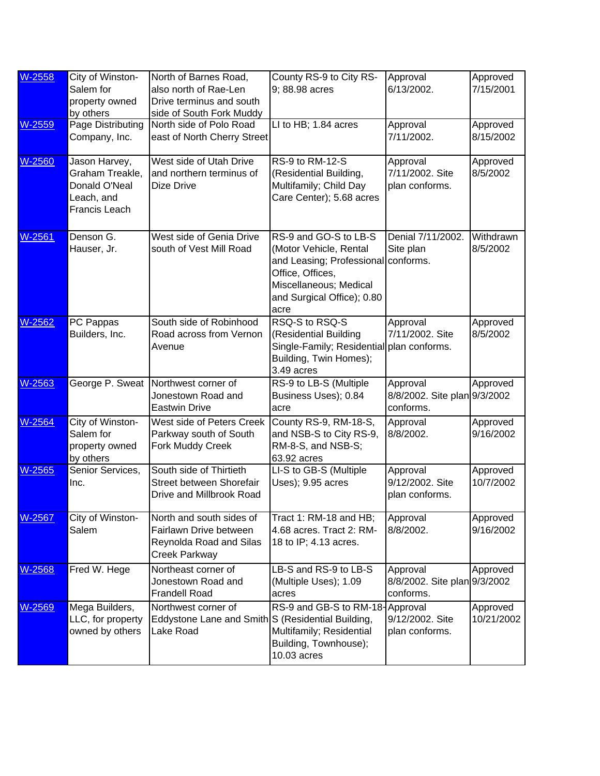| W-2558 | City of Winston-<br>Salem for<br>property owned<br>by others                     | North of Barnes Road,<br>also north of Rae-Len<br>Drive terminus and south<br>side of South Fork Muddy | County RS-9 to City RS-<br>9; 88.98 acres                                                                                                                                  | Approval<br>6/13/2002.                                | Approved<br>7/15/2001  |
|--------|----------------------------------------------------------------------------------|--------------------------------------------------------------------------------------------------------|----------------------------------------------------------------------------------------------------------------------------------------------------------------------------|-------------------------------------------------------|------------------------|
| W-2559 | <b>Page Distributing</b><br>Company, Inc.                                        | North side of Polo Road<br>east of North Cherry Street                                                 | LI to HB; 1.84 acres                                                                                                                                                       | Approval<br>7/11/2002.                                | Approved<br>8/15/2002  |
| W-2560 | Jason Harvey,<br>Graham Treakle,<br>Donald O'Neal<br>Leach, and<br>Francis Leach | West side of Utah Drive<br>and northern terminus of<br><b>Dize Drive</b>                               | <b>RS-9 to RM-12-S</b><br>(Residential Building,<br>Multifamily; Child Day<br>Care Center); 5.68 acres                                                                     | Approval<br>7/11/2002. Site<br>plan conforms.         | Approved<br>8/5/2002   |
| W-2561 | Denson G.<br>Hauser, Jr.                                                         | West side of Genia Drive<br>south of Vest Mill Road                                                    | RS-9 and GO-S to LB-S<br>(Motor Vehicle, Rental<br>and Leasing; Professional conforms.<br>Office, Offices,<br>Miscellaneous; Medical<br>and Surgical Office); 0.80<br>acre | Denial 7/11/2002.<br>Site plan                        | Withdrawn<br>8/5/2002  |
| W-2562 | PC Pappas<br>Builders, Inc.                                                      | South side of Robinhood<br>Road across from Vernon<br>Avenue                                           | RSQ-S to RSQ-S<br>(Residential Building<br>Single-Family; Residential plan conforms.<br>Building, Twin Homes);<br>3.49 acres                                               | Approval<br>7/11/2002. Site                           | Approved<br>8/5/2002   |
| W-2563 |                                                                                  | George P. Sweat Northwest corner of<br>Jonestown Road and<br><b>Eastwin Drive</b>                      | RS-9 to LB-S (Multiple<br>Business Uses); 0.84<br>acre                                                                                                                     | Approval<br>8/8/2002. Site plan 9/3/2002<br>conforms. | Approved               |
| W-2564 | City of Winston-<br>Salem for<br>property owned<br>by others                     | West side of Peters Creek<br>Parkway south of South<br>Fork Muddy Creek                                | County RS-9, RM-18-S,<br>and NSB-S to City RS-9,<br>RM-8-S, and NSB-S;<br>63.92 acres                                                                                      | Approval<br>8/8/2002.                                 | Approved<br>9/16/2002  |
| W-2565 | Senior Services,<br>Inc.                                                         | South side of Thirtieth<br>Street between Shorefair<br>Drive and Millbrook Road                        | LI-S to GB-S (Multiple<br>Uses); 9.95 acres                                                                                                                                | Approval<br>9/12/2002. Site<br>plan conforms.         | Approved<br>10/7/2002  |
| W-2567 | City of Winston-<br>Salem                                                        | North and south sides of<br>Fairlawn Drive between<br>Reynolda Road and Silas<br>Creek Parkway         | Tract 1: RM-18 and HB;<br>4.68 acres. Tract 2: RM-<br>18 to IP; 4.13 acres.                                                                                                | Approval<br>8/8/2002.                                 | Approved<br>9/16/2002  |
| W-2568 | Fred W. Hege                                                                     | Northeast corner of<br>Jonestown Road and<br><b>Frandell Road</b>                                      | LB-S and RS-9 to LB-S<br>(Multiple Uses); 1.09<br>acres                                                                                                                    | Approval<br>8/8/2002. Site plan 9/3/2002<br>conforms. | Approved               |
| W-2569 | Mega Builders,<br>LLC, for property<br>owned by others                           | Northwest corner of<br>Eddystone Lane and Smith S (Residential Building,<br>Lake Road                  | RS-9 and GB-S to RM-18-Approval<br>Multifamily; Residential<br>Building, Townhouse);<br>10.03 acres                                                                        | 9/12/2002. Site<br>plan conforms.                     | Approved<br>10/21/2002 |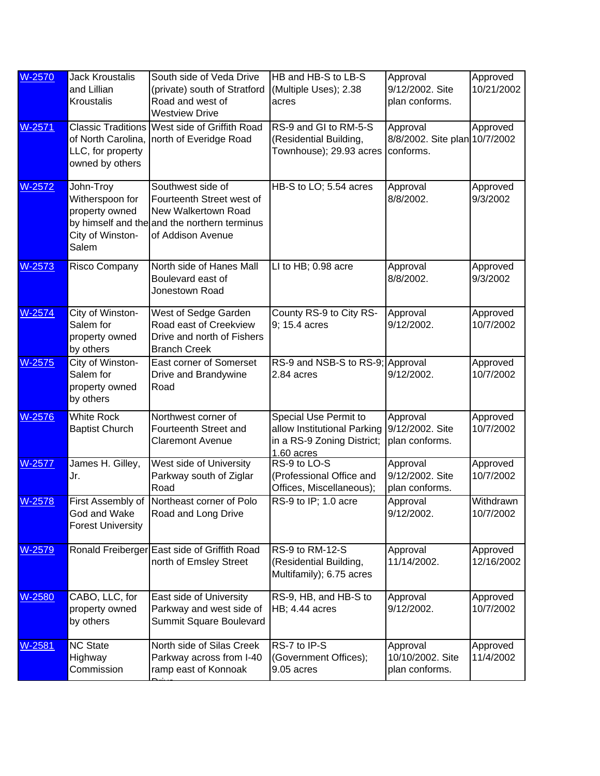| W-2570   | <b>Jack Kroustalis</b><br>and Lillian<br>Kroustalis                         | South side of Veda Drive<br>(private) south of Stratford<br>Road and west of<br><b>Westview Drive</b>                                      | HB and HB-S to LB-S<br>(Multiple Uses); 2.38<br>acres                                              | Approval<br>9/12/2002. Site<br>plan conforms.          | Approved<br>10/21/2002 |
|----------|-----------------------------------------------------------------------------|--------------------------------------------------------------------------------------------------------------------------------------------|----------------------------------------------------------------------------------------------------|--------------------------------------------------------|------------------------|
| $W-2571$ | of North Carolina,<br>LLC, for property<br>owned by others                  | Classic Traditions West side of Griffith Road<br>north of Everidge Road                                                                    | RS-9 and GI to RM-5-S<br>(Residential Building,<br>Townhouse); 29.93 acres                         | Approval<br>8/8/2002. Site plan 10/7/2002<br>conforms. | Approved               |
| W-2572   | John-Troy<br>Witherspoon for<br>property owned<br>City of Winston-<br>Salem | Southwest side of<br>Fourteenth Street west of<br>New Walkertown Road<br>by himself and the and the northern terminus<br>of Addison Avenue | HB-S to LO; 5.54 acres                                                                             | Approval<br>8/8/2002.                                  | Approved<br>9/3/2002   |
| W-2573   | Risco Company                                                               | North side of Hanes Mall<br>Boulevard east of<br>Jonestown Road                                                                            | LI to HB; 0.98 acre                                                                                | Approval<br>8/8/2002.                                  | Approved<br>9/3/2002   |
| W-2574   | City of Winston-<br>Salem for<br>property owned<br>by others                | West of Sedge Garden<br>Road east of Creekview<br>Drive and north of Fishers<br><b>Branch Creek</b>                                        | County RS-9 to City RS-<br>9; 15.4 acres                                                           | Approval<br>9/12/2002.                                 | Approved<br>10/7/2002  |
| W-2575   | City of Winston-<br>Salem for<br>property owned<br>by others                | East corner of Somerset<br>Drive and Brandywine<br>Road                                                                                    | RS-9 and NSB-S to RS-9; Approval<br>2.84 acres                                                     | 9/12/2002.                                             | Approved<br>10/7/2002  |
| W-2576   | <b>White Rock</b><br><b>Baptist Church</b>                                  | Northwest corner of<br>Fourteenth Street and<br><b>Claremont Avenue</b>                                                                    | Special Use Permit to<br>allow Institutional Parking<br>in a RS-9 Zoning District;<br>$1.60$ acres | Approval<br>9/12/2002. Site<br>plan conforms.          | Approved<br>10/7/2002  |
| W-2577   | James H. Gilley,<br>Jr.                                                     | West side of University<br>Parkway south of Ziglar<br>Road                                                                                 | RS-9 to LO-S<br>(Professional Office and<br>Offices, Miscellaneous);                               | Approval<br>9/12/2002. Site<br>plan conforms.          | Approved<br>10/7/2002  |
| $W-2578$ | God and Wake<br><b>Forest University</b>                                    | First Assembly of Northeast corner of Polo<br>Road and Long Drive                                                                          | RS-9 to IP; 1.0 acre                                                                               | Approval<br>9/12/2002.                                 | Withdrawn<br>10/7/2002 |
| W-2579   |                                                                             | Ronald Freiberger East side of Griffith Road<br>north of Emsley Street                                                                     | RS-9 to RM-12-S<br>(Residential Building,<br>Multifamily); 6.75 acres                              | Approval<br>11/14/2002.                                | Approved<br>12/16/2002 |
| W-2580   | CABO, LLC, for<br>property owned<br>by others                               | East side of University<br>Parkway and west side of<br>Summit Square Boulevard                                                             | RS-9, HB, and HB-S to<br><b>HB</b> ; 4.44 acres                                                    | Approval<br>9/12/2002.                                 | Approved<br>10/7/2002  |
| W-2581   | <b>NC State</b><br>Highway<br>Commission                                    | North side of Silas Creek<br>Parkway across from I-40<br>ramp east of Konnoak                                                              | RS-7 to IP-S<br>(Government Offices);<br>9.05 acres                                                | Approval<br>10/10/2002. Site<br>plan conforms.         | Approved<br>11/4/2002  |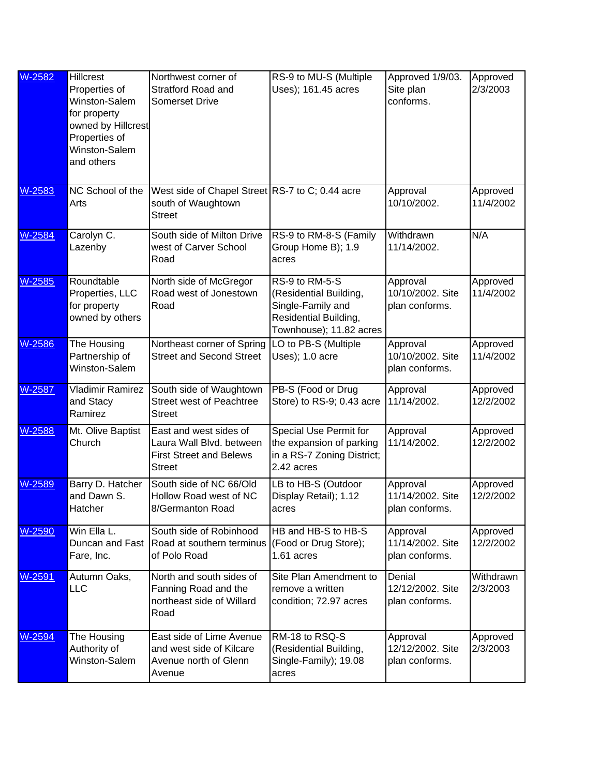| W-2582 | Hillcrest<br>Properties of<br>Winston-Salem<br>for property<br>owned by Hillcrest<br>Properties of<br>Winston-Salem<br>and others | Northwest corner of<br><b>Stratford Road and</b><br><b>Somerset Drive</b>                             | RS-9 to MU-S (Multiple<br>Uses); 161.45 acres                                                                     | Approved 1/9/03.<br>Site plan<br>conforms.     | Approved<br>2/3/2003  |
|--------|-----------------------------------------------------------------------------------------------------------------------------------|-------------------------------------------------------------------------------------------------------|-------------------------------------------------------------------------------------------------------------------|------------------------------------------------|-----------------------|
| W-2583 | NC School of the<br>Arts                                                                                                          | West side of Chapel Street RS-7 to C; 0.44 acre<br>south of Waughtown<br><b>Street</b>                |                                                                                                                   | Approval<br>10/10/2002.                        | Approved<br>11/4/2002 |
| W-2584 | Carolyn C.<br>Lazenby                                                                                                             | South side of Milton Drive<br>west of Carver School<br>Road                                           | RS-9 to RM-8-S (Family<br>Group Home B); 1.9<br>acres                                                             | Withdrawn<br>11/14/2002.                       | N/A                   |
| W-2585 | Roundtable<br>Properties, LLC<br>for property<br>owned by others                                                                  | North side of McGregor<br>Road west of Jonestown<br>Road                                              | RS-9 to RM-5-S<br>(Residential Building,<br>Single-Family and<br>Residential Building,<br>Townhouse); 11.82 acres | Approval<br>10/10/2002. Site<br>plan conforms. | Approved<br>11/4/2002 |
| W-2586 | The Housing<br>Partnership of<br>Winston-Salem                                                                                    | Northeast corner of Spring<br><b>Street and Second Street</b>                                         | LO to PB-S (Multiple<br>Uses); 1.0 acre                                                                           | Approval<br>10/10/2002. Site<br>plan conforms. | Approved<br>11/4/2002 |
| W-2587 | <b>Vladimir Ramirez</b><br>and Stacy<br>Ramirez                                                                                   | South side of Waughtown<br><b>Street west of Peachtree</b><br><b>Street</b>                           | PB-S (Food or Drug<br>Store) to RS-9; 0.43 acre                                                                   | Approval<br>11/14/2002.                        | Approved<br>12/2/2002 |
| W-2588 | Mt. Olive Baptist<br>Church                                                                                                       | East and west sides of<br>Laura Wall Blvd. between<br><b>First Street and Belews</b><br><b>Street</b> | Special Use Permit for<br>the expansion of parking<br>in a RS-7 Zoning District;<br>2.42 acres                    | Approval<br>11/14/2002.                        | Approved<br>12/2/2002 |
| W-2589 | Barry D. Hatcher<br>and Dawn S.<br>Hatcher                                                                                        | South side of NC 66/Old<br>Hollow Road west of NC<br>8/Germanton Road                                 | LB to HB-S (Outdoor<br>Display Retail); 1.12<br>acres                                                             | Approval<br>11/14/2002. Site<br>plan conforms. | Approved<br>12/2/2002 |
| W-2590 | Win Ella L.<br>Duncan and Fast<br>Fare, Inc.                                                                                      | South side of Robinhood<br>Road at southern terminus (Food or Drug Store);<br>of Polo Road            | HB and HB-S to HB-S<br>1.61 acres                                                                                 | Approval<br>11/14/2002. Site<br>plan conforms. | Approved<br>12/2/2002 |
| W-2591 | Autumn Oaks,<br>LLC                                                                                                               | North and south sides of<br>Fanning Road and the<br>northeast side of Willard<br>Road                 | Site Plan Amendment to<br>remove a written<br>condition; 72.97 acres                                              | Denial<br>12/12/2002. Site<br>plan conforms.   | Withdrawn<br>2/3/2003 |
| W-2594 | The Housing<br>Authority of<br>Winston-Salem                                                                                      | East side of Lime Avenue<br>and west side of Kilcare<br>Avenue north of Glenn<br>Avenue               | RM-18 to RSQ-S<br>(Residential Building,<br>Single-Family); 19.08<br>acres                                        | Approval<br>12/12/2002. Site<br>plan conforms. | Approved<br>2/3/2003  |